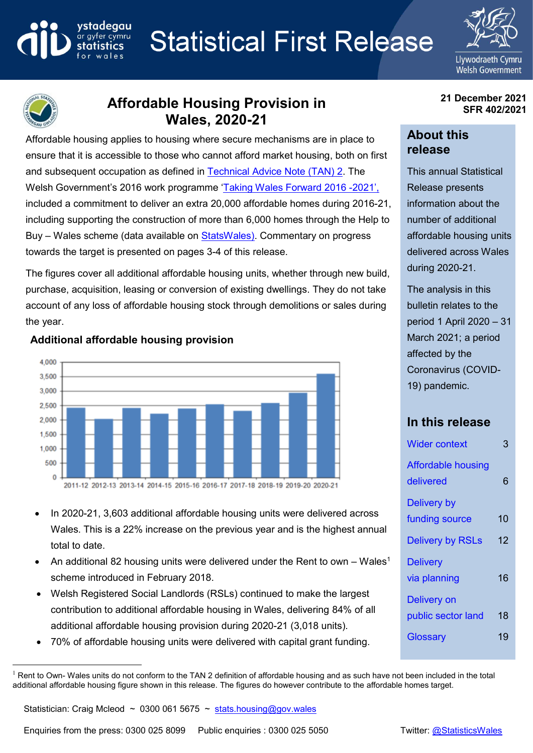#### vstadeaau **Statistical First Release** ar gyfer cymru



 $\overline{a}$ 

# **Affordable Housing Provision in Wales, 2020-21**

Affordable housing applies to housing where secure mechanisms are in place to ensure that it is accessible to those who cannot afford market housing, both on first and subsequent occupation as defined in [Technical Advice Note \(TAN\) 2.](https://gov.wales/technical-advice-notes) The Welsh Government's 2016 work programme '[Taking Wales Forward 2016 -](https://gov.wales/taking-wales-forward-0)2021', included a commitment to deliver an extra 20,000 affordable homes during 2016-21, including supporting the construction of more than 6,000 homes through the Help to Buy – Wales scheme (data available on [StatsWales\)](https://statswales.gov.wales/Catalogue/Housing/Help-To-Buy). Commentary on progress towards the target is presented on pages 3-4 of this release.

The figures cover all additional affordable housing units, whether through new build, purchase, acquisition, leasing or conversion of existing dwellings. They do not take account of any loss of affordable housing stock through demolitions or sales during the year.

### 4 0 0 0 3,500 3,000 2,500 2,000 1,500 1,000 500 0 2011-12 2012-13 2013-14 2014-15 2015-16 2016-17 2017-18 2018-19 2019-20 2020-21

## **Additional affordable housing provision**

- In 2020-21, 3,603 additional affordable housing units were delivered across Wales. This is a 22% increase on the previous year and is the highest annual total to date.
- An additional 82 housing units were delivered under the Rent to own Wales<sup>1</sup> scheme introduced in February 2018.
- Welsh Registered Social Landlords (RSLs) continued to make the largest contribution to additional affordable housing in Wales, delivering 84% of all additional affordable housing provision during 2020-21 (3,018 units).
- 70% of affordable housing units were delivered with capital grant funding.

#### **21 December 2021 SFR 402/2021**

## **About this release**

This annual Statistical Release presents information about the number of additional affordable housing units delivered across Wales during 2020-21.

The analysis in this bulletin relates to the period 1 April 2020 – 31 March 2021; a period affected by the Coronavirus (COVID-19) pandemic.

# **In this release**

| <b>Wider context</b>                   | 3  |
|----------------------------------------|----|
| <b>Affordable housing</b><br>delivered | 6  |
| Delivery by                            |    |
| funding source                         | 10 |
| <b>Delivery by RSLs</b>                | 12 |
| <b>Delivery</b>                        |    |
| via planning                           | 16 |
| <b>Delivery on</b>                     |    |
| public sector land                     | 18 |
| Glossary                               | 19 |
|                                        |    |

 $1$  Rent to Own- Wales units do not conform to the TAN 2 definition of affordable housing and as such have not been included in the total additional affordable housing figure shown in this release. The figures do however contribute to the affordable homes target.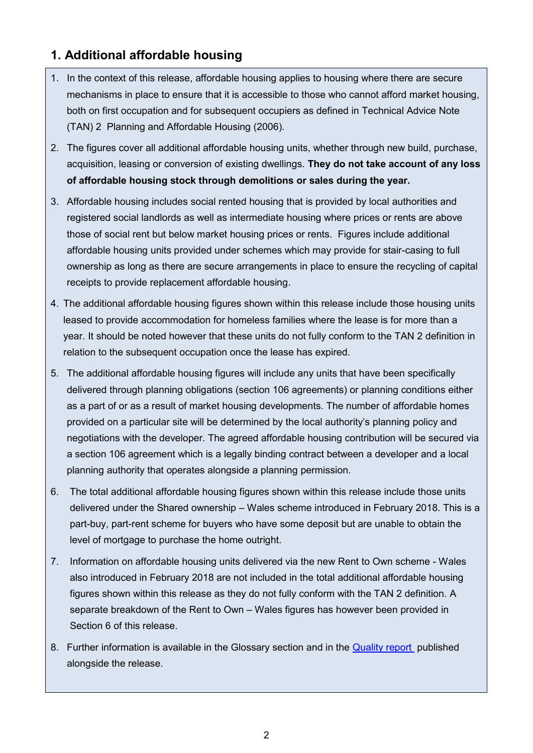## **1. Additional affordable housing**

- 1. In the context of this release, affordable housing applies to housing where there are secure mechanisms in place to ensure that it is accessible to those who cannot afford market housing, both on first occupation and for subsequent occupiers as defined in [Technical Advice Note](http://gov.wales/topics/planning/policy/tans/tan2/?lang=en)  [\(TAN\) 2](http://gov.wales/topics/planning/policy/tans/tan2/?lang=en) Planning and Affordable Housing (2006).
- 2. The figures cover all additional affordable housing units, whether through new build, purchase, acquisition, leasing or conversion of existing dwellings. **They do not take account of any loss of affordable housing stock through demolitions or sales during the year.**
- 3. Affordable housing includes social rented housing that is provided by local authorities and registered social landlords as well as intermediate housing where prices or rents are above those of social rent but below market housing prices or rents. Figures include additional affordable housing units provided under schemes which may provide for stair-casing to full ownership as long as there are secure arrangements in place to ensure the recycling of capital receipts to provide replacement affordable housing.
- 4. The additional affordable housing figures shown within this release include those housing units leased to provide accommodation for homeless families where the lease is for more than a year. It should be noted however that these units do not fully conform to the TAN 2 definition in relation to the subsequent occupation once the lease has expired.
- 5. The additional affordable housing figures will include any units that have been specifically delivered through planning obligations (section 106 agreements) or planning conditions either as a part of or as a result of market housing developments. The number of affordable homes provided on a particular site will be determined by the local authority's planning policy and negotiations with the developer. The agreed affordable housing contribution will be secured via a section 106 agreement which is a legally binding contract between a developer and a local planning authority that operates alongside a planning permission.
- 6. The total additional affordable housing figures shown within this release include those units delivered under the Shared ownership – Wales scheme introduced in February 2018. This is a part-buy, part-rent scheme for buyers who have some deposit but are unable to obtain the level of mortgage to purchase the home outright.
- 7. Information on affordable housing units delivered via the new Rent to Own scheme Wales also introduced in February 2018 are not included in the total additional affordable housing figures shown within this release as they do not fully conform with the TAN 2 definition. A separate breakdown of the Rent to Own – Wales figures has however been provided in Section 6 of this release.
- 8. Further information is available in the Glossary section and in the [Quality report](https://gov.wales/additional-affordable-housing-provision-quality-report) published alongside the release.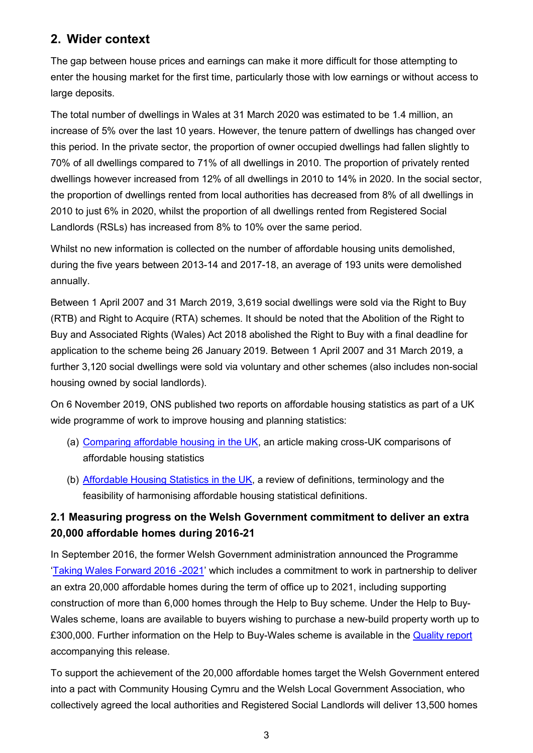## <span id="page-2-0"></span>**2. Wider context**

The gap between house prices and earnings can make it more difficult for those attempting to enter the housing market for the first time, particularly those with low earnings or without access to large deposits.

The total number of dwellings in Wales at 31 March 2020 was estimated to be 1.4 million, an increase of 5% over the last 10 years. However, the tenure pattern of dwellings has changed over this period. In the private sector, the proportion of owner occupied dwellings had fallen slightly to 70% of all dwellings compared to 71% of all dwellings in 2010. The proportion of privately rented dwellings however increased from 12% of all dwellings in 2010 to 14% in 2020. In the social sector, the proportion of dwellings rented from local authorities has decreased from 8% of all dwellings in 2010 to just 6% in 2020, whilst the proportion of all dwellings rented from Registered Social Landlords (RSLs) has increased from 8% to 10% over the same period.

Whilst no new information is collected on the number of affordable housing units demolished, during the five years between 2013-14 and 2017-18, an average of 193 units were demolished annually.

Between 1 April 2007 and 31 March 2019, 3,619 social dwellings were sold via the Right to Buy (RTB) and Right to Acquire (RTA) schemes. It should be noted that the Abolition of the Right to Buy and Associated Rights (Wales) Act 2018 abolished the Right to Buy with a final deadline for application to the scheme being 26 January 2019. Between 1 April 2007 and 31 March 2019, a further 3,120 social dwellings were sold via voluntary and other schemes (also includes non-social housing owned by social landlords).

On 6 November 2019, ONS published two reports on affordable housing statistics as part of a UK wide programme of work to improve housing and planning statistics:

- (a) [Comparing affordable housing in the UK,](https://www.ons.gov.uk/peoplepopulationandcommunity/housing/articles/comparingaffordablehousingintheuk/april2008tomarch2018) an article making cross-UK comparisons of affordable housing statistics
- (b) [Affordable Housing Statistics in the UK,](https://gss.civilservice.gov.uk/policy-store/affordable-housing/) a review of definitions, terminology and the feasibility of harmonising affordable housing statistical definitions.

## **2.1 Measuring progress on the Welsh Government commitment to deliver an extra 20,000 affordable homes during 2016-21**

In September 2016, the former Welsh Government administration announced the Programme '[Taking Wales Forward 2016 -2021](https://gov.wales/taking-wales-forward-0)' which includes a commitment to work in partnership to deliver an extra 20,000 affordable homes during the term of office up to 2021, including supporting construction of more than 6,000 homes through the Help to Buy scheme. Under the Help to Buy-Wales scheme, loans are available to buyers wishing to purchase a new-build property worth up to £300,000. Further information on the Help to Buy-Wales scheme is available in the [Quality report](https://gov.wales/additional-affordable-housing-provision-quality-report)  accompanying this release.

To support the achievement of the 20,000 affordable homes target the Welsh Government entered into a pact with Community Housing Cymru and the Welsh Local Government Association, who collectively agreed the local authorities and Registered Social Landlords will deliver 13,500 homes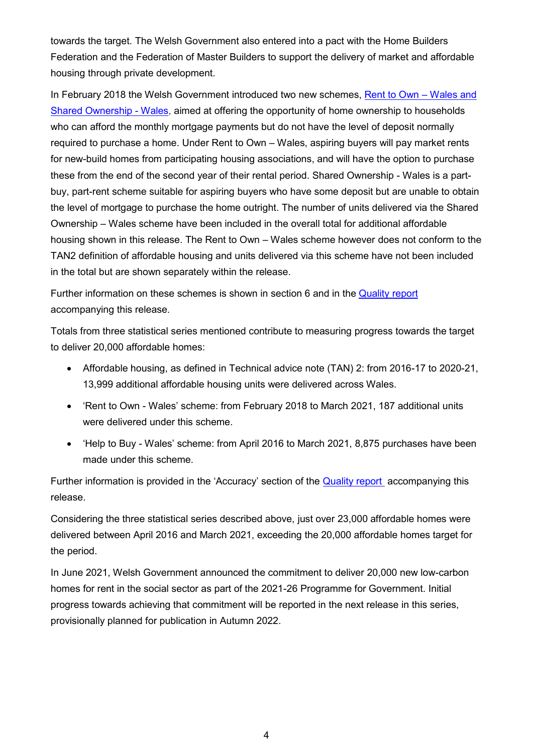towards the target. The Welsh Government also entered into a pact with the Home Builders Federation and the Federation of Master Builders to support the delivery of market and affordable housing through private development.

In February 2018 the Welsh Government introduced two new schemes, [Rent to Own](https://gov.wales/written-statement-launch-rent-own-wales-and-shared-ownership-wales) – Wales and [Shared Ownership -](https://gov.wales/written-statement-launch-rent-own-wales-and-shared-ownership-wales) Wales, aimed at offering the opportunity of home ownership to households who can afford the monthly mortgage payments but do not have the level of deposit normally required to purchase a home. Under Rent to Own – Wales, aspiring buyers will pay market rents for new-build homes from participating housing associations, and will have the option to purchase these from the end of the second year of their rental period. Shared Ownership - Wales is a partbuy, part-rent scheme suitable for aspiring buyers who have some deposit but are unable to obtain the level of mortgage to purchase the home outright. The number of units delivered via the Shared Ownership – Wales scheme have been included in the overall total for additional affordable housing shown in this release. The Rent to Own – Wales scheme however does not conform to the TAN2 definition of affordable housing and units delivered via this scheme have not been included in the total but are shown separately within the release.

Further information on these schemes is shown in section 6 and in the [Quality report](https://gov.wales/additional-affordable-housing-provision-quality-report) accompanying this release.

Totals from three statistical series mentioned contribute to measuring progress towards the target to deliver 20,000 affordable homes:

- Affordable housing, as defined in [Technical advice note \(TAN\) 2:](https://gov.wales/technical-advice-note-tan-2-planning-and-affordable-housing) from 2016-17 to 2020-21, 13,999 additional affordable housing units were delivered across Wales.
- 'Rent to Own Wales' scheme: from February 2018 to March 2021, 187 additional units were delivered under this scheme.
- 'Help to Buy Wales' scheme: from April 2016 to March 2021, 8,875 purchases have been made under this scheme.

Further information is provided in the 'Accuracy' section of the **Quality report** accompanying this release.

Considering the three statistical series described above, just over 23,000 affordable homes were delivered between April 2016 and March 2021, exceeding the 20,000 affordable homes target for the period.

In June 2021, Welsh Government announced the commitment to deliver 20,000 new low-carbon homes for rent in the social sector as part of the 2021-26 Programme for Government. Initial progress towards achieving that commitment will be reported in the next release in this series, provisionally planned for publication in Autumn 2022.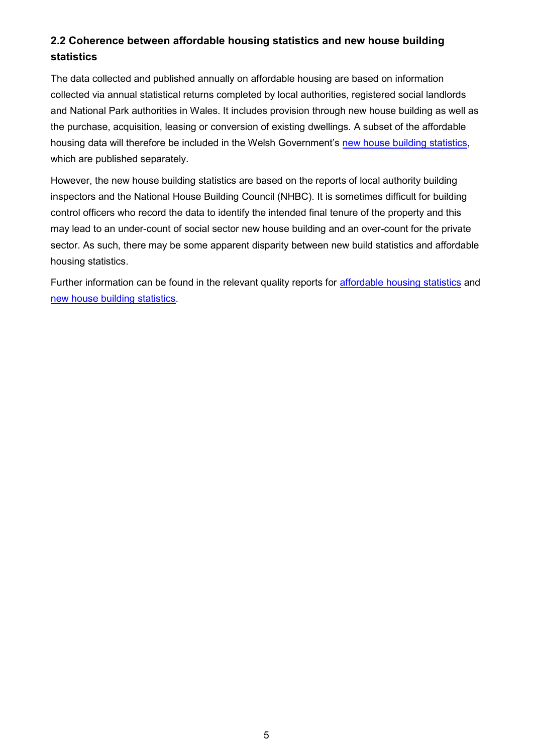## **2.2 Coherence between affordable housing statistics and new house building statistics**

The data collected and published annually on affordable housing are based on information collected via annual statistical returns completed by local authorities, registered social landlords and National Park authorities in Wales. It includes provision through new house building as well as the purchase, acquisition, leasing or conversion of existing dwellings. A subset of the affordable housing data will therefore be included in the Welsh Government's [new house building statistics,](https://gov.wales/new-house-building) which are published separately.

However, the new house building statistics are based on the reports of local authority building inspectors and the National House Building Council (NHBC). It is sometimes difficult for building control officers who record the data to identify the intended final tenure of the property and this may lead to an under-count of social sector new house building and an over-count for the private sector. As such, there may be some apparent disparity between new build statistics and affordable housing statistics.

Further information can be found in the relevant quality reports for [affordable housing statistics](https://gov.wales/affordable-housing-provision#Qualityreport) and [new house building statistics.](https://gov.wales/new-house-building#Qualityreport)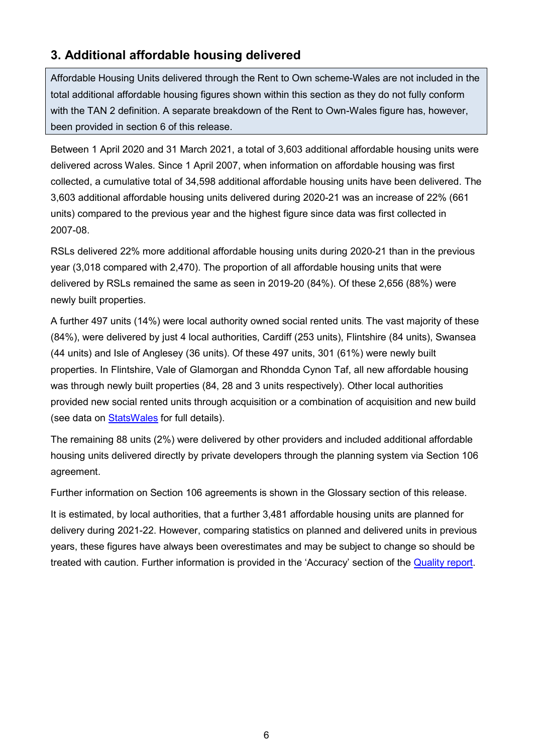## <span id="page-5-0"></span>**3. Additional affordable housing delivered**

Affordable Housing Units delivered through the Rent to Own scheme-Wales are not included in the total additional affordable housing figures shown within this section as they do not fully conform with the TAN 2 definition. A separate breakdown of the Rent to Own-Wales figure has, however, been provided in section 6 of this release.

Between 1 April 2020 and 31 March 2021, a total of 3,603 additional affordable housing units were delivered across Wales. Since 1 April 2007, when information on affordable housing was first collected, a cumulative total of 34,598 additional affordable housing units have been delivered. The 3,603 additional affordable housing units delivered during 2020-21 was an increase of 22% (661 units) compared to the previous year and the highest figure since data was first collected in 2007-08.

RSLs delivered 22% more additional affordable housing units during 2020-21 than in the previous year (3,018 compared with 2,470). The proportion of all affordable housing units that were delivered by RSLs remained the same as seen in 2019-20 (84%). Of these 2,656 (88%) were newly built properties.

A further 497 units (14%) were local authority owned social rented units. The vast majority of these (84%), were delivered by just 4 local authorities, Cardiff (253 units), Flintshire (84 units), Swansea (44 units) and Isle of Anglesey (36 units). Of these 497 units, 301 (61%) were newly built properties. In Flintshire, Vale of Glamorgan and Rhondda Cynon Taf, all new affordable housing was through newly built properties (84, 28 and 3 units respectively). Other local authorities provided new social rented units through acquisition or a combination of acquisition and new build (see data on [StatsWales](https://statswales.gov.wales/Catalogue/Housing/Affordable-Housing/Provision) for full details).

The remaining 88 units (2%) were delivered by other providers and included additional affordable housing units delivered directly by private developers through the planning system via Section 106 agreement.

Further information on Section 106 agreements is shown in the Glossary section of this release.

It is estimated, by local authorities, that a further 3,481 affordable housing units are planned for delivery during 2021-22. However, comparing statistics on planned and delivered units in previous years, these figures have always been overestimates and may be subject to change so should be treated with caution. Further information is provided in the 'Accuracy' section of the [Quality report.](https://gov.wales/additional-affordable-housing-provision-quality-report)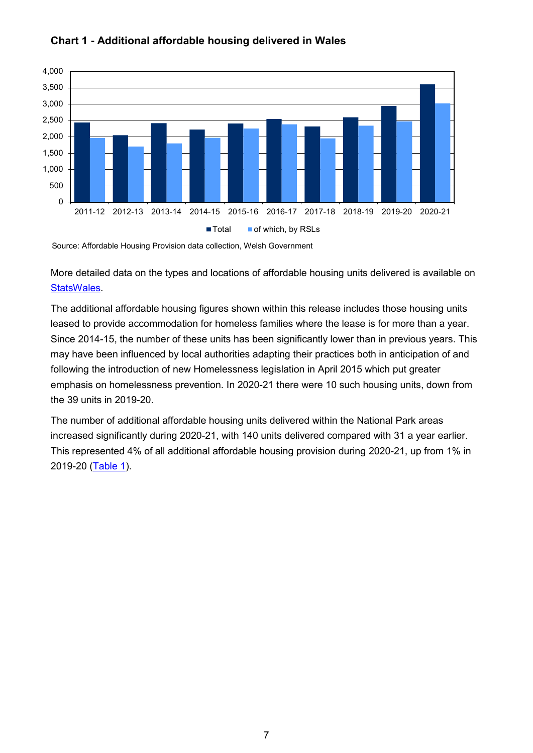

### **Chart 1 - Additional affordable housing delivered in Wales**

More detailed data on the types and locations of affordable housing units delivered is available on **StatsWales** 

The additional affordable housing figures shown within this release includes those housing units leased to provide accommodation for homeless families where the lease is for more than a year. Since 2014-15, the number of these units has been significantly lower than in previous years. This may have been influenced by local authorities adapting their practices both in anticipation of and following the introduction of new Homelessness legislation in April 2015 which put greater emphasis on homelessness prevention. In 2020-21 there were 10 such housing units, down from the 39 units in 2019-20.

<span id="page-6-0"></span>The number of additional affordable housing units delivered within the National Park areas increased significantly during 2020-21, with 140 units delivered compared with 31 a year earlier. This represented 4% of all additional affordable housing provision during 2020-21, up from 1% in 2019-20 [\(Table 1\)](#page-6-0).

Source: Affordable Housing Provision data collection, Welsh Government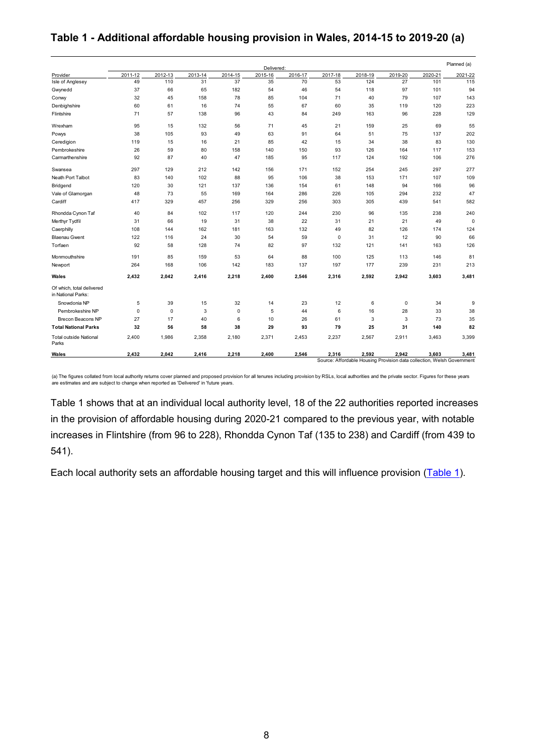#### **Table 1 - Additional affordable housing provision in Wales, 2014-15 to 2019-20 (a)**

|                                                 |             |             |         |             | Delivered: |         |             |                                                                                 |             |         | Planned (a) |
|-------------------------------------------------|-------------|-------------|---------|-------------|------------|---------|-------------|---------------------------------------------------------------------------------|-------------|---------|-------------|
| Provider                                        | 2011-12     | 2012-13     | 2013-14 | 2014-15     | 2015-16    | 2016-17 | 2017-18     | 2018-19                                                                         | 2019-20     | 2020-21 | 2021-22     |
| Isle of Anglesey                                | 49          | 110         | 31      | 37          | 35         | 70      | 53          | 124                                                                             | 27          | 101     | 115         |
| Gwynedd                                         | 37          | 66          | 65      | 182         | 54         | 46      | 54          | 118                                                                             | 97          | 101     | 94          |
| Conwy                                           | 32          | 45          | 158     | 78          | 85         | 104     | 71          | 40                                                                              | 79          | 107     | 143         |
| Denbighshire                                    | 60          | 61          | 16      | 74          | 55         | 67      | 60          | 35                                                                              | 119         | 120     | 223         |
| Flintshire                                      | 71          | 57          | 138     | 96          | 43         | 84      | 249         | 163                                                                             | 96          | 228     | 129         |
| Wrexham                                         | 95          | 15          | 132     | 56          | 71         | 45      | 21          | 159                                                                             | 25          | 69      | 55          |
| Powys                                           | 38          | 105         | 93      | 49          | 63         | 91      | 64          | 51                                                                              | 75          | 137     | 202         |
| Ceredigion                                      | 119         | 15          | 16      | 21          | 85         | 42      | 15          | 34                                                                              | 38          | 83      | 130         |
| Pembrokeshire                                   | 26          | 59          | 80      | 158         | 140        | 150     | 93          | 126                                                                             | 164         | 117     | 153         |
| Carmarthenshire                                 | 92          | 87          | 40      | 47          | 185        | 95      | 117         | 124                                                                             | 192         | 106     | 276         |
| Swansea                                         | 297         | 129         | 212     | 142         | 156        | 171     | 152         | 254                                                                             | 245         | 297     | 277         |
| Neath Port Talbot                               | 83          | 140         | 102     | 88          | 95         | 106     | 38          | 153                                                                             | 171         | 107     | 109         |
| Bridgend                                        | 120         | 30          | 121     | 137         | 136        | 154     | 61          | 148                                                                             | 94          | 166     | 96          |
| Vale of Glamorgan                               | 48          | 73          | 55      | 169         | 164        | 286     | 226         | 105                                                                             | 294         | 232     | 47          |
| Cardiff                                         | 417         | 329         | 457     | 256         | 329        | 256     | 303         | 305                                                                             | 439         | 541     | 582         |
| Rhondda Cynon Taf                               | 40          | 84          | 102     | 117         | 120        | 244     | 230         | 96                                                                              | 135         | 238     | 240         |
| Merthyr Tydfil                                  | 31          | 66          | 19      | 31          | 38         | 22      | 31          | 21                                                                              | 21          | 49      | $\mathbf 0$ |
| Caerphilly                                      | 108         | 144         | 162     | 181         | 163        | 132     | 49          | 82                                                                              | 126         | 174     | 124         |
| <b>Blaenau Gwent</b>                            | 122         | 116         | 24      | 30          | 54         | 59      | $\mathbf 0$ | 31                                                                              | 12          | 90      | 66          |
| Torfaen                                         | 92          | 58          | 128     | 74          | 82         | 97      | 132         | 121                                                                             | 141         | 163     | 126         |
| Monmouthshire                                   | 191         | 85          | 159     | 53          | 64         | 88      | 100         | 125                                                                             | 113         | 146     | 81          |
| Newport                                         | 264         | 168         | 106     | 142         | 183        | 137     | 197         | 177                                                                             | 239         | 231     | 213         |
| Wales                                           | 2,432       | 2,042       | 2,416   | 2,218       | 2,400      | 2,546   | 2,316       | 2,592                                                                           | 2,942       | 3,603   | 3,481       |
| Of which, total delivered<br>in National Parks: |             |             |         |             |            |         |             |                                                                                 |             |         |             |
| Snowdonia NP                                    | 5           | 39          | 15      | 32          | 14         | 23      | 12          | 6                                                                               | $\mathbf 0$ | 34      | g           |
| Pembrokeshire NP                                | $\mathbf 0$ | $\mathbf 0$ | 3       | $\mathbf 0$ | 5          | 44      | 6           | 16                                                                              | 28          | 33      | 38          |
| <b>Brecon Beacons NP</b>                        | 27          | 17          | 40      | 6           | 10         | 26      | 61          | 3                                                                               | 3           | 73      | 35          |
| <b>Total National Parks</b>                     | 32          | 56          | 58      | 38          | 29         | 93      | 79          | 25                                                                              | 31          | 140     | 82          |
| <b>Total outside National</b><br>Parks          | 2.400       | 1.986       | 2.358   | 2.180       | 2.371      | 2.453   | 2.237       | 2.567                                                                           | 2,911       | 3.463   | 3.399       |
| Wales                                           | 2,432       | 2,042       | 2,416   | 2,218       | 2,400      | 2,546   | 2,316       | 2,592<br>Source: Affordable Housing Provision data collection, Welsh Government | 2,942       | 3,603   | 3,481       |

(a) The figures collated from local authority returns cover planned and proposed provision for all tenures including provision by RSLs, local authorities and the private sector. Figures for these years are estimates and are subject to change when reported as 'Delivered' in 'future years.

Table 1 shows that at an individual local authority level, 18 of the 22 authorities reported increases in the provision of affordable housing during 2020-21 compared to the previous year, with notable increases in Flintshire (from 96 to 228), Rhondda Cynon Taf (135 to 238) and Cardiff (from 439 to 541).

Each local authority sets an affordable housing target and this will influence provision [\(Table 1\)](#page-6-0).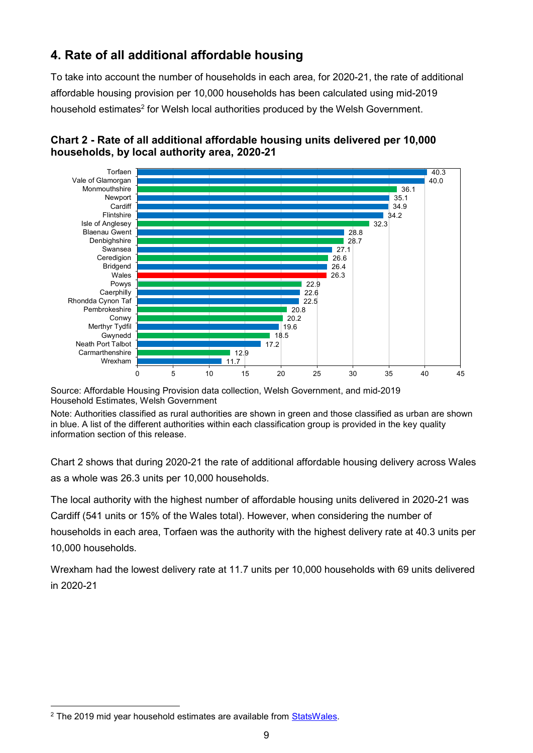# **4. Rate of all additional affordable housing**

To take into account the number of households in each area, for 2020-21, the rate of additional affordable housing provision per 10,000 households has been calculated using mid-2019 household estimates<sup>2</sup> for Welsh local authorities produced by the Welsh Government.



## **Chart 2 - Rate of all additional affordable housing units delivered per 10,000 households, by local authority area, 2020-21**

Source: Affordable Housing Provision data collection, Welsh Government, and mid-2019 Household Estimates, Welsh Government

Note: Authorities classified as rural authorities are shown in green and those classified as urban are shown in blue. A list of the different authorities within each classification group is provided in the key quality information section of this release.

Chart 2 shows that during 2020-21 the rate of additional affordable housing delivery across Wales as a whole was 26.3 units per 10,000 households.

The local authority with the highest number of affordable housing units delivered in 2020-21 was Cardiff (541 units or 15% of the Wales total). However, when considering the number of households in each area, Torfaen was the authority with the highest delivery rate at 40.3 units per 10,000 households.

Wrexham had the lowest delivery rate at 11.7 units per 10,000 households with 69 units delivered in 2020-21

<u>.</u>

<sup>&</sup>lt;sup>2</sup> The 2019 mid year household estimates are available from [StatsWales.](https://statswales.gov.wales/Catalogue/Housing/Households/Estimates)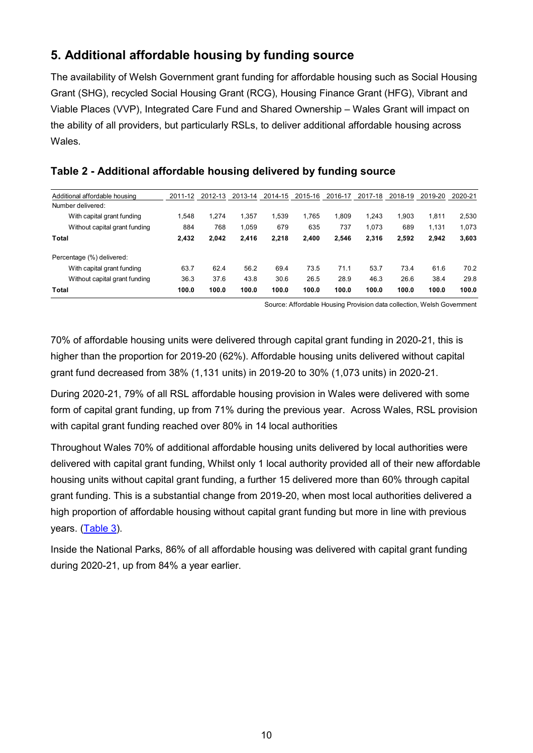# <span id="page-9-0"></span>**5. Additional affordable housing by funding source**

The availability of Welsh Government grant funding for affordable housing such as Social Housing Grant (SHG), recycled Social Housing Grant (RCG), Housing Finance Grant (HFG), Vibrant and Viable Places (VVP), Integrated Care Fund and Shared Ownership – Wales Grant will impact on the ability of all providers, but particularly RSLs, to deliver additional affordable housing across Wales.

| Additional affordable housing | 2011-12 | 2012-13 | 2013-14 | 2014-15 | 2015-16 | 2016-17 | 2017-18 | 2018-19 | 2019-20 | 2020-21 |
|-------------------------------|---------|---------|---------|---------|---------|---------|---------|---------|---------|---------|
| Number delivered:             |         |         |         |         |         |         |         |         |         |         |
| With capital grant funding    | 1.548   | 1.274   | 1.357   | 1.539   | 1.765   | 1.809   | 1.243   | 1.903   | 1,811   | 2,530   |
| Without capital grant funding | 884     | 768     | 1,059   | 679     | 635     | 737     | 1,073   | 689     | 1.131   | 1,073   |
| Total                         | 2,432   | 2,042   | 2.416   | 2.218   | 2,400   | 2,546   | 2,316   | 2.592   | 2.942   | 3,603   |
| Percentage (%) delivered:     |         |         |         |         |         |         |         |         |         |         |
| With capital grant funding    | 63.7    | 62.4    | 56.2    | 69.4    | 73.5    | 71.1    | 53.7    | 73.4    | 61.6    | 70.2    |
| Without capital grant funding | 36.3    | 37.6    | 43.8    | 30.6    | 26.5    | 28.9    | 46.3    | 26.6    | 38.4    | 29.8    |
| Total                         | 100.0   | 100.0   | 100.0   | 100.0   | 100.0   | 100.0   | 100.0   | 100.0   | 100.0   | 100.0   |

#### **Table 2 - Additional affordable housing delivered by funding source**

Source: Affordable Housing Provision data collection, Welsh Government

70% of affordable housing units were delivered through capital grant funding in 2020-21, this is higher than the proportion for 2019-20 (62%). Affordable housing units delivered without capital grant fund decreased from 38% (1,131 units) in 2019-20 to 30% (1,073 units) in 2020-21.

During 2020-21, 79% of all RSL affordable housing provision in Wales were delivered with some form of capital grant funding, up from 71% during the previous year. Across Wales, RSL provision with capital grant funding reached over 80% in 14 local authorities

Throughout Wales 70% of additional affordable housing units delivered by local authorities were delivered with capital grant funding, Whilst only 1 local authority provided all of their new affordable housing units without capital grant funding, a further 15 delivered more than 60% through capital grant funding. This is a substantial change from 2019-20, when most local authorities delivered a high proportion of affordable housing without capital grant funding but more in line with previous years. [\(Table 3\)](#page-10-0).

Inside the National Parks, 86% of all affordable housing was delivered with capital grant funding during 2020-21, up from 84% a year earlier.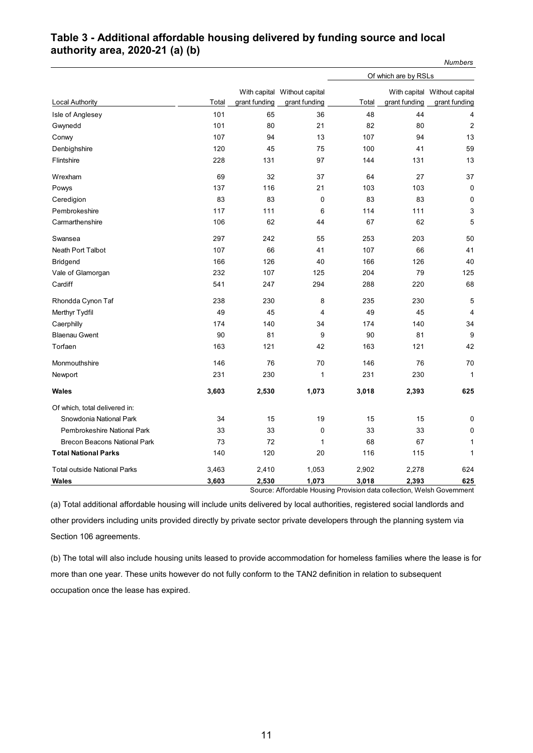#### <span id="page-10-0"></span>**Table 3 - Additional affordable housing delivered by funding source and local authority area, 2020-21 (a) (b)**

|                                     |       |               |                              |       | Of which are by RSLs |                              |  |  |
|-------------------------------------|-------|---------------|------------------------------|-------|----------------------|------------------------------|--|--|
|                                     |       |               | With capital Without capital |       |                      | With capital Without capital |  |  |
| Local Authority                     | Total | grant funding | grant funding                | Total | grant funding        | grant funding                |  |  |
| Isle of Anglesey                    | 101   | 65            | 36                           | 48    | 44                   | 4                            |  |  |
| Gwynedd                             | 101   | 80            | 21                           | 82    | 80                   | $\overline{2}$               |  |  |
| Conwy                               | 107   | 94            | 13                           | 107   | 94                   | 13                           |  |  |
| Denbighshire                        | 120   | 45            | 75                           | 100   | 41                   | 59                           |  |  |
| Flintshire                          | 228   | 131           | 97                           | 144   | 131                  | 13                           |  |  |
| Wrexham                             | 69    | 32            | 37                           | 64    | 27                   | 37                           |  |  |
| Powys                               | 137   | 116           | 21                           | 103   | 103                  | 0                            |  |  |
| Ceredigion                          | 83    | 83            | $\mathbf 0$                  | 83    | 83                   | $\mathbf 0$                  |  |  |
| Pembrokeshire                       | 117   | 111           | 6                            | 114   | 111                  | 3                            |  |  |
| Carmarthenshire                     | 106   | 62            | 44                           | 67    | 62                   | 5                            |  |  |
| Swansea                             | 297   | 242           | 55                           | 253   | 203                  | 50                           |  |  |
| Neath Port Talbot                   | 107   | 66            | 41                           | 107   | 66                   | 41                           |  |  |
| <b>Bridgend</b>                     | 166   | 126           | 40                           | 166   | 126                  | 40                           |  |  |
| Vale of Glamorgan                   | 232   | 107           | 125                          | 204   | 79                   | 125                          |  |  |
| Cardiff                             | 541   | 247           | 294                          | 288   | 220                  | 68                           |  |  |
| Rhondda Cynon Taf                   | 238   | 230           | 8                            | 235   | 230                  | 5                            |  |  |
| Merthyr Tydfil                      | 49    | 45            | 4                            | 49    | 45                   | $\overline{4}$               |  |  |
| Caerphilly                          | 174   | 140           | 34                           | 174   | 140                  | 34                           |  |  |
| <b>Blaenau Gwent</b>                | 90    | 81            | 9                            | 90    | 81                   | 9                            |  |  |
| Torfaen                             | 163   | 121           | 42                           | 163   | 121                  | 42                           |  |  |
| Monmouthshire                       | 146   | 76            | 70                           | 146   | 76                   | 70                           |  |  |
| Newport                             | 231   | 230           | 1                            | 231   | 230                  | $\mathbf{1}$                 |  |  |
| Wales                               | 3,603 | 2,530         | 1,073                        | 3,018 | 2,393                | 625                          |  |  |
| Of which, total delivered in:       |       |               |                              |       |                      |                              |  |  |
| Snowdonia National Park             | 34    | 15            | 19                           | 15    | 15                   | 0                            |  |  |
| Pembrokeshire National Park         | 33    | 33            | 0                            | 33    | 33                   | 0                            |  |  |
| <b>Brecon Beacons National Park</b> | 73    | 72            | $\mathbf{1}$                 | 68    | 67                   | $\mathbf{1}$                 |  |  |
| <b>Total National Parks</b>         | 140   | 120           | 20                           | 116   | 115                  | $\mathbf{1}$                 |  |  |
| <b>Total outside National Parks</b> | 3,463 | 2,410         | 1,053                        | 2,902 | 2,278                | 624                          |  |  |
| <b>Wales</b>                        | 3,603 | 2,530         | 1,073                        | 3,018 | 2,393                | 625                          |  |  |

Source: Affordable Housing Provision data collection, Welsh Government

*Numbers*

(a) Total additional affordable housing will include units delivered by local authorities, registered social landlords and other providers including units provided directly by private sector private developers through the planning system via Section 106 agreements.

(b) The total will also include housing units leased to provide accommodation for homeless families where the lease is for more than one year. These units however do not fully conform to the TAN2 definition in relation to subsequent occupation once the lease has expired.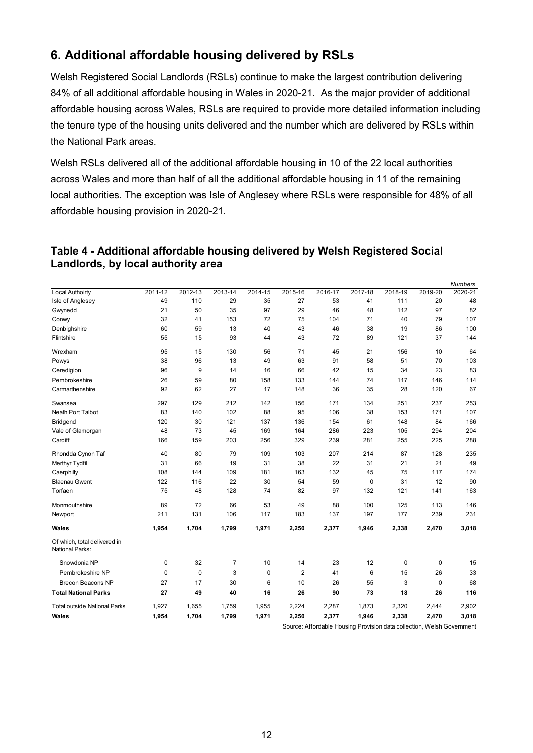# <span id="page-11-0"></span>**6. Additional affordable housing delivered by RSLs**

Welsh Registered Social Landlords (RSLs) continue to make the largest contribution delivering 84% of all additional affordable housing in Wales in 2020-21. As the major provider of additional affordable housing across Wales, RSLs are required to provide more detailed information including the tenure type of the housing units delivered and the number which are delivered by RSLs within the National Park areas.

Welsh RSLs delivered all of the additional affordable housing in 10 of the 22 local authorities across Wales and more than half of all the additional affordable housing in 11 of the remaining local authorities. The exception was Isle of Anglesey where RSLs were responsible for 48% of all affordable housing provision in 2020-21.

#### **Table 4 - Additional affordable housing delivered by Welsh Registered Social Landlords, by local authority area**

| Lanulorus, by local authority area              |             |         |         |         |         |         |         |         |         |                           |
|-------------------------------------------------|-------------|---------|---------|---------|---------|---------|---------|---------|---------|---------------------------|
| <b>Local Authoirty</b>                          | 2011-12     | 2012-13 | 2013-14 | 2014-15 | 2015-16 | 2016-17 | 2017-18 | 2018-19 | 2019-20 | <b>Numbers</b><br>2020-21 |
| Isle of Anglesey                                | 49          | 110     | 29      | 35      | 27      | 53      | 41      | 111     | 20      | 48                        |
| Gwynedd                                         | 21          | 50      | 35      | 97      | 29      | 46      | 48      | 112     | 97      | 82                        |
| Conwy                                           | 32          | 41      | 153     | 72      | 75      | 104     | 71      | 40      | 79      | 107                       |
| Denbighshire                                    | 60          | 59      | 13      | 40      | 43      | 46      | 38      | 19      | 86      | 100                       |
| Flintshire                                      | 55          | 15      | 93      | 44      | 43      | 72      | 89      | 121     | 37      | 144                       |
| Wrexham                                         | 95          | 15      | 130     | 56      | 71      | 45      | 21      | 156     | 10      | 64                        |
| Powys                                           | 38          | 96      | 13      | 49      | 63      | 91      | 58      | 51      | 70      | 103                       |
| Ceredigion                                      | 96          | 9       | 14      | 16      | 66      | 42      | 15      | 34      | 23      | 83                        |
| Pembrokeshire                                   | 26          | 59      | 80      | 158     | 133     | 144     | 74      | 117     | 146     | 114                       |
| Carmarthenshire                                 | 92          | 62      | 27      | 17      | 148     | 36      | 35      | 28      | 120     | 67                        |
| Swansea                                         | 297         | 129     | 212     | 142     | 156     | 171     | 134     | 251     | 237     | 253                       |
| Neath Port Talbot                               | 83          | 140     | 102     | 88      | 95      | 106     | 38      | 153     | 171     | 107                       |
| <b>Bridgend</b>                                 | 120         | 30      | 121     | 137     | 136     | 154     | 61      | 148     | 84      | 166                       |
| Vale of Glamorgan                               | 48          | 73      | 45      | 169     | 164     | 286     | 223     | 105     | 294     | 204                       |
| Cardiff                                         | 166         | 159     | 203     | 256     | 329     | 239     | 281     | 255     | 225     | 288                       |
| Rhondda Cynon Taf                               | 40          | 80      | 79      | 109     | 103     | 207     | 214     | 87      | 128     | 235                       |
| Merthyr Tydfil                                  | 31          | 66      | 19      | 31      | 38      | 22      | 31      | 21      | 21      | 49                        |
| Caerphilly                                      | 108         | 144     | 109     | 181     | 163     | 132     | 45      | 75      | 117     | 174                       |
| <b>Blaenau Gwent</b>                            | 122         | 116     | 22      | 30      | 54      | 59      | 0       | 31      | 12      | 90                        |
| Torfaen                                         | 75          | 48      | 128     | 74      | 82      | 97      | 132     | 121     | 141     | 163                       |
| Monmouthshire                                   | 89          | 72      | 66      | 53      | 49      | 88      | 100     | 125     | 113     | 146                       |
| Newport                                         | 211         | 131     | 106     | 117     | 183     | 137     | 197     | 177     | 239     | 231                       |
| Wales                                           | 1,954       | 1,704   | 1,799   | 1,971   | 2,250   | 2,377   | 1,946   | 2,338   | 2,470   | 3,018                     |
| Of which, total delivered in<br>National Parks: |             |         |         |         |         |         |         |         |         |                           |
| Snowdonia NP                                    | $\pmb{0}$   | 32      | 7       | 10      | 14      | 23      | 12      | 0       | 0       | 15                        |
| Pembrokeshire NP                                | $\mathbf 0$ | 0       | 3       | 0       | 2       | 41      | 6       | 15      | 26      | 33                        |
| <b>Brecon Beacons NP</b>                        | 27          | 17      | 30      | 6       | 10      | 26      | 55      | 3       | 0       | 68                        |
| <b>Total National Parks</b>                     | 27          | 49      | 40      | 16      | 26      | 90      | 73      | 18      | 26      | 116                       |
| <b>Total outside National Parks</b>             | 1,927       | 1,655   | 1,759   | 1,955   | 2,224   | 2,287   | 1,873   | 2,320   | 2,444   | 2,902                     |
| Wales                                           | 1,954       | 1,704   | 1,799   | 1,971   | 2,250   | 2,377   | 1,946   | 2,338   | 2,470   | 3,018                     |

Source: Affordable Housing Provision data collection, Welsh Government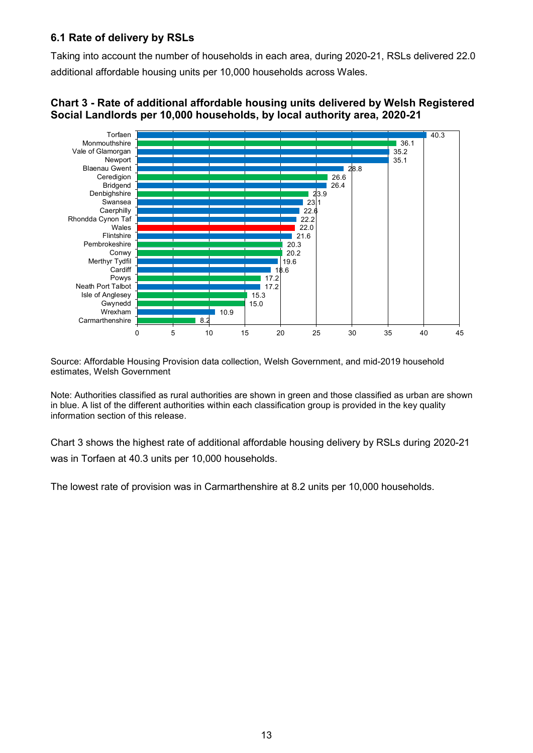#### **6.1 Rate of delivery by RSLs**

Taking into account the number of households in each area, during 2020-21, RSLs delivered 22.0 additional affordable housing units per 10,000 households across Wales.



#### **Chart 3 - Rate of additional affordable housing units delivered by Welsh Registered Social Landlords per 10,000 households, by local authority area, 2020-21**

Source: Affordable Housing Provision data collection, Welsh Government, and mid-2019 household estimates, Welsh Government

Note: Authorities classified as rural authorities are shown in green and those classified as urban are shown in blue. A list of the different authorities within each classification group is provided in the key quality information section of this release.

Chart 3 shows the highest rate of additional affordable housing delivery by RSLs during 2020-21 was in Torfaen at 40.3 units per 10,000 households.

The lowest rate of provision was in Carmarthenshire at 8.2 units per 10,000 households.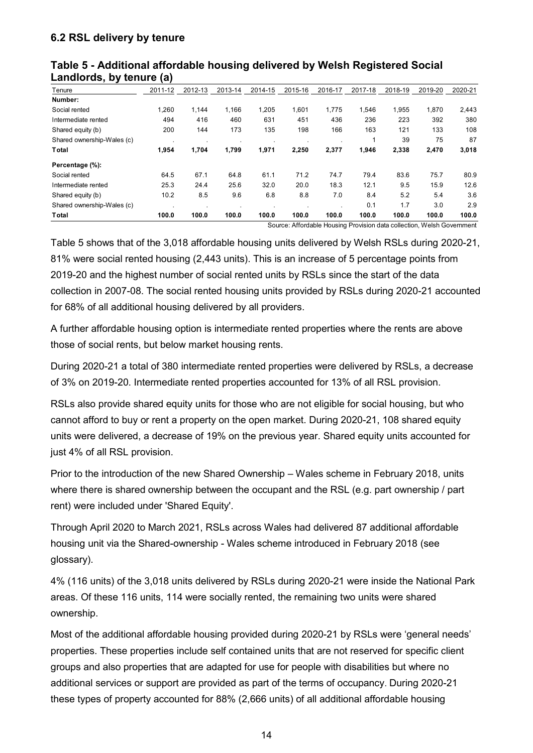| Tenure                     | 2011-12 | 2012-13 | 2013-14 | 2014-15 | 2015-16 | 2016-17 | 2017-18 | 2018-19 | 2019-20 | 2020-21 |
|----------------------------|---------|---------|---------|---------|---------|---------|---------|---------|---------|---------|
| Number:                    |         |         |         |         |         |         |         |         |         |         |
| Social rented              | 1.260   | 1.144   | 1,166   | 1,205   | 1,601   | 1,775   | 1,546   | 1,955   | 1,870   | 2,443   |
| Intermediate rented        | 494     | 416     | 460     | 631     | 451     | 436     | 236     | 223     | 392     | 380     |
| Shared equity (b)          | 200     | 144     | 173     | 135     | 198     | 166     | 163     | 121     | 133     | 108     |
| Shared ownership-Wales (c) |         |         |         |         |         |         |         | 39      | 75      | 87      |
| Total                      | 1,954   | 1,704   | 1,799   | 1,971   | 2.250   | 2,377   | 1,946   | 2,338   | 2,470   | 3,018   |
| Percentage (%):            |         |         |         |         |         |         |         |         |         |         |
| Social rented              | 64.5    | 67.1    | 64.8    | 61.1    | 71.2    | 74.7    | 79.4    | 83.6    | 75.7    | 80.9    |
| Intermediate rented        | 25.3    | 24.4    | 25.6    | 32.0    | 20.0    | 18.3    | 12.1    | 9.5     | 15.9    | 12.6    |
| Shared equity (b)          | 10.2    | 8.5     | 9.6     | 6.8     | 8.8     | 7.0     | 8.4     | 5.2     | 5.4     | 3.6     |
| Shared ownership-Wales (c) |         |         |         |         |         |         | 0.1     | 1.7     | 3.0     | 2.9     |
| Total                      | 100.0   | 100.0   | 100.0   | 100.0   | 100.0   | 100.0   | 100.0   | 100.0   | 100.0   | 100.0   |

#### **Table 5 - Additional affordable housing delivered by Welsh Registered Social Landlords, by tenure (a)**

Source: Affordable Housing Provision data collection, Welsh Government

Table 5 shows that of the 3,018 affordable housing units delivered by Welsh RSLs during 2020-21, 81% were social rented housing (2,443 units). This is an increase of 5 percentage points from 2019-20 and the highest number of social rented units by RSLs since the start of the data collection in 2007-08. The social rented housing units provided by RSLs during 2020-21 accounted for 68% of all additional housing delivered by all providers.

A further affordable housing option is intermediate rented properties where the rents are above those of social rents, but below market housing rents.

During 2020-21 a total of 380 intermediate rented properties were delivered by RSLs, a decrease of 3% on 2019-20. Intermediate rented properties accounted for 13% of all RSL provision.

RSLs also provide shared equity units for those who are not eligible for social housing, but who cannot afford to buy or rent a property on the open market. During 2020-21, 108 shared equity units were delivered, a decrease of 19% on the previous year. Shared equity units accounted for just 4% of all RSL provision.

Prior to the introduction of the new Shared Ownership – Wales scheme in February 2018, units where there is shared ownership between the occupant and the RSL (e.g. part ownership / part rent) were included under 'Shared Equity'.

Through April 2020 to March 2021, RSLs across Wales had delivered 87 additional affordable housing unit via the Shared-ownership - Wales scheme introduced in February 2018 (see glossary).

4% (116 units) of the 3,018 units delivered by RSLs during 2020-21 were inside the National Park areas. Of these 116 units, 114 were socially rented, the remaining two units were shared ownership.

Most of the additional affordable housing provided during 2020-21 by RSLs were 'general needs' properties. These properties include self contained units that are not reserved for specific client groups and also properties that are adapted for use for people with disabilities but where no additional services or support are provided as part of the terms of occupancy. During 2020-21 these types of property accounted for 88% (2,666 units) of all additional affordable housing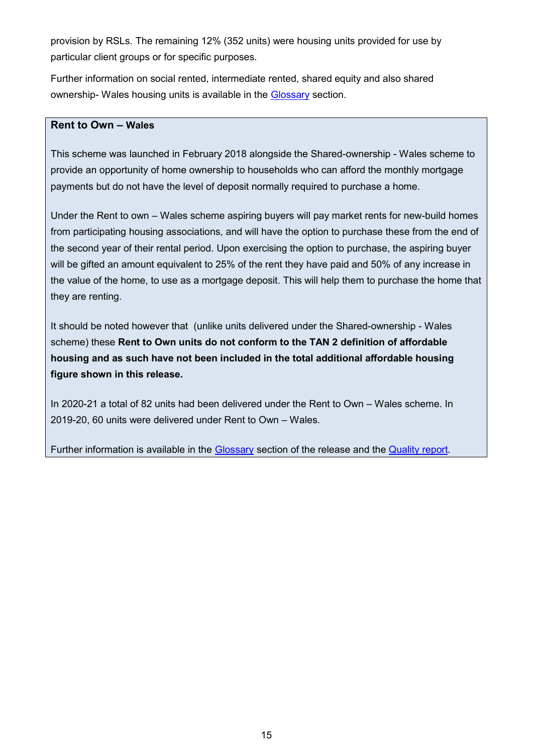provision by RSLs. The remaining 12% (352 units) were housing units provided for use by particular client groups or for specific purposes.

Further information on social rented, intermediate rented, shared equity and also shared ownership- Wales housing units is available in the [Glossary](#page-18-0) section.

#### **Rent to Own – Wales**

This scheme was launched in February 2018 alongside the Shared-ownership - Wales scheme to provide an opportunity of home ownership to households who can afford the monthly mortgage payments but do not have the level of deposit normally required to purchase a home.

Under the Rent to own – Wales scheme aspiring buyers will pay market rents for new-build homes from participating housing associations, and will have the option to purchase these from the end of the second year of their rental period. Upon exercising the option to purchase, the aspiring buyer will be gifted an amount equivalent to 25% of the rent they have paid and 50% of any increase in the value of the home, to use as a mortgage deposit. This will help them to purchase the home that they are renting.

It should be noted however that (unlike units delivered under the Shared-ownership - Wales scheme) these **Rent to Own units do not conform to the TAN 2 definition of affordable housing and as such have not been included in the total additional affordable housing figure shown in this release.**

In 2020-21 a total of 82 units had been delivered under the Rent to Own – Wales scheme. In 2019-20, 60 units were delivered under Rent to Own – Wales.

Further information is available in the [Glossary](#page-18-0) section of the release and the [Quality report.](https://gov.wales/additional-affordable-housing-provision-quality-report)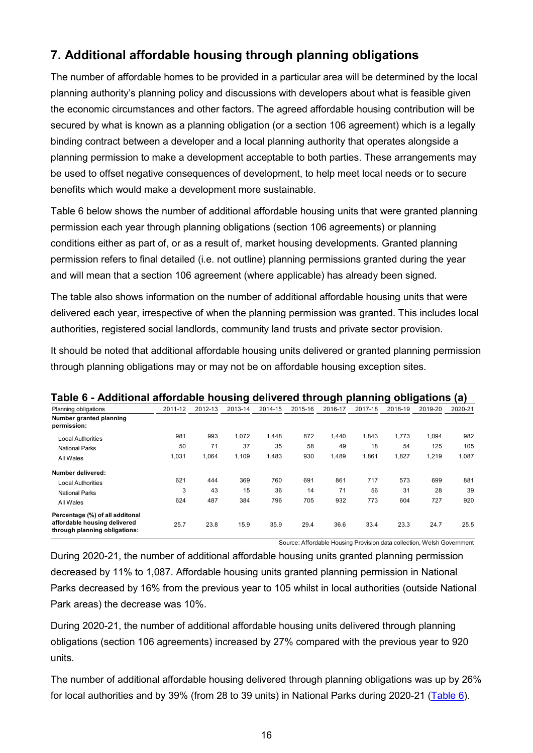# <span id="page-15-0"></span>**7. Additional affordable housing through planning obligations**

The number of affordable homes to be provided in a particular area will be determined by the local planning authority's planning policy and discussions with developers about what is feasible given the economic circumstances and other factors. The agreed affordable housing contribution will be secured by what is known as a planning obligation (or a section 106 agreement) which is a legally binding contract between a developer and a local planning authority that operates alongside a planning permission to make a development acceptable to both parties. These arrangements may be used to offset negative consequences of development, to help meet local needs or to secure benefits which would make a development more sustainable.

Table 6 below shows the number of additional affordable housing units that were granted planning permission each year through planning obligations (section 106 agreements) or planning conditions either as part of, or as a result of, market housing developments. Granted planning permission refers to final detailed (i.e. not outline) planning permissions granted during the year and will mean that a section 106 agreement (where applicable) has already been signed.

The table also shows information on the number of additional affordable housing units that were delivered each year, irrespective of when the planning permission was granted. This includes local authorities, registered social landlords, community land trusts and private sector provision.

It should be noted that additional affordable housing units delivered or granted planning permission through planning obligations may or may not be on affordable housing exception sites.

| rabic v - Additional anordabic nousing denvered through planning obligations                     |         |         |         |         |         |         |         |         |         | 1a 1    |
|--------------------------------------------------------------------------------------------------|---------|---------|---------|---------|---------|---------|---------|---------|---------|---------|
| Planning obligations                                                                             | 2011-12 | 2012-13 | 2013-14 | 2014-15 | 2015-16 | 2016-17 | 2017-18 | 2018-19 | 2019-20 | 2020-21 |
| Number granted planning<br>permission:                                                           |         |         |         |         |         |         |         |         |         |         |
| <b>Local Authorities</b>                                                                         | 981     | 993     | 1,072   | 1.448   | 872     | 1.440   | 1.843   | 1.773   | 1,094   | 982     |
| <b>National Parks</b>                                                                            | 50      | 71      | 37      | 35      | 58      | 49      | 18      | 54      | 125     | 105     |
| All Wales                                                                                        | 1,031   | 1,064   | 1,109   | 1,483   | 930     | 1,489   | 1,861   | 1,827   | 1,219   | 1,087   |
| Number delivered:                                                                                |         |         |         |         |         |         |         |         |         |         |
| <b>Local Authorities</b>                                                                         | 621     | 444     | 369     | 760     | 691     | 861     | 717     | 573     | 699     | 881     |
| <b>National Parks</b>                                                                            | 3       | 43      | 15      | 36      | 14      | 71      | 56      | 31      | 28      | 39      |
| All Wales                                                                                        | 624     | 487     | 384     | 796     | 705     | 932     | 773     | 604     | 727     | 920     |
| Percentage (%) of all additonal<br>affordable housing delivered<br>through planning obligations: | 25.7    | 23.8    | 15.9    | 35.9    | 29.4    | 36.6    | 33.4    | 23.3    | 24.7    | 25.5    |

#### <span id="page-15-1"></span>**Table 6 - Additional affordable housing delivered through planning obligations (a)**

Source: Affordable Housing Provision data collection, Welsh Government

During 2020-21, the number of additional affordable housing units granted planning permission decreased by 11% to 1,087. Affordable housing units granted planning permission in National Parks decreased by 16% from the previous year to 105 whilst in local authorities (outside National Park areas) the decrease was 10%.

During 2020-21, the number of additional affordable housing units delivered through planning obligations (section 106 agreements) increased by 27% compared with the previous year to 920 units.

The number of additional affordable housing delivered through planning obligations was up by 26% for local authorities and by 39% (from 28 to 39 units) in National Parks during 2020-21 [\(Table 6\)](#page-15-1).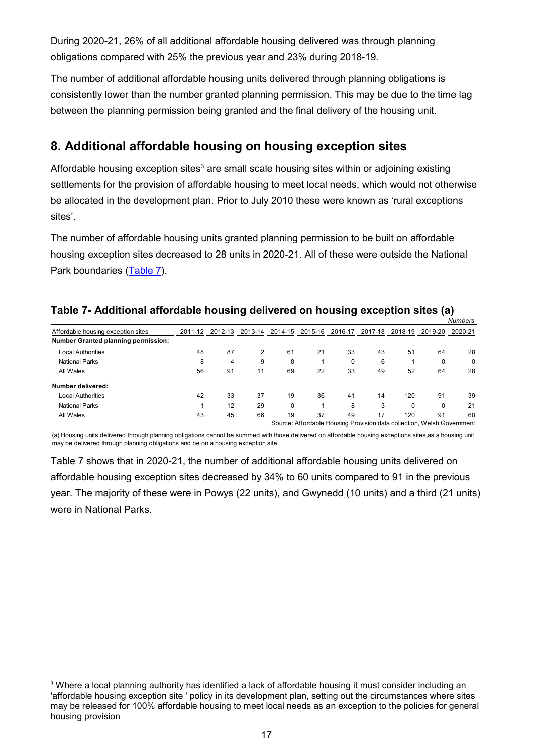During 2020-21, 26% of all additional affordable housing delivered was through planning obligations compared with 25% the previous year and 23% during 2018-19.

The number of additional affordable housing units delivered through planning obligations is consistently lower than the number granted planning permission. This may be due to the time lag between the planning permission being granted and the final delivery of the housing unit.

## **8. Additional affordable housing on housing exception sites**

Affordable housing exception sites<sup>3</sup> are small scale housing sites within or adjoining existing settlements for the provision of affordable housing to meet local needs, which would not otherwise be allocated in the development plan. Prior to July 2010 these were known as 'rural exceptions sites'.

The number of affordable housing units granted planning permission to be built on affordable housing exception sites decreased to 28 units in 2020-21. All of these were outside the National Park boundaries [\(Table 7\)](#page-16-0).

|                                            |         |         |         |             |         |         |                                                                        |         |         | Numbers |
|--------------------------------------------|---------|---------|---------|-------------|---------|---------|------------------------------------------------------------------------|---------|---------|---------|
| Affordable housing exception sites         | 2011-12 | 2012-13 | 2013-14 | 2014-15     | 2015-16 | 2016-17 | 2017-18                                                                | 2018-19 | 2019-20 | 2020-21 |
| <b>Number Granted planning permission:</b> |         |         |         |             |         |         |                                                                        |         |         |         |
| <b>Local Authorities</b>                   | 48      | 87      | 2       | 61          | 21      | 33      | 43                                                                     | 51      | 64      | 28      |
| <b>National Parks</b>                      | 8       | 4       | 9       | 8           |         | 0       | 6                                                                      |         | 0       | 0       |
| All Wales                                  | 56      | 91      | 11      | 69          | 22      | 33      | 49                                                                     | 52      | 64      | 28      |
| Number delivered:                          |         |         |         |             |         |         |                                                                        |         |         |         |
| <b>Local Authorities</b>                   | 42      | 33      | 37      | 19          | 36      | 41      | 14                                                                     | 120     | 91      | 39      |
| <b>National Parks</b>                      |         | 12      | 29      | $\mathbf 0$ |         | 8       | 3                                                                      | 0       | 0       | 21      |
| All Wales                                  | 43      | 45      | 66      | 19          | 37      | 49      | 17                                                                     | 120     | 91      | 60      |
|                                            |         |         |         |             |         |         | Source: Affordable Housing Provision data collection, Welsh Government |         |         |         |

#### <span id="page-16-0"></span>**Table 7- Additional affordable housing delivered on housing exception sites (a)**

(a) Housing units delivered through planning obligations cannot be summed with those delivered on affordable housing exceptions sites,as a housing unit may be delivered through planning obligations and be on a housing exception site.

Table 7 shows that in 2020-21, the number of additional affordable housing units delivered on affordable housing exception sites decreased by 34% to 60 units compared to 91 in the previous year. The majority of these were in Powys (22 units), and Gwynedd (10 units) and a third (21 units) were in National Parks.

<u>.</u>

<sup>&</sup>lt;sup>3</sup> Where a local planning authority has identified a lack of affordable housing it must consider including an 'affordable housing exception site ' policy in its development plan, setting out the circumstances where sites may be released for 100% affordable housing to meet local needs as an exception to the policies for general housing provision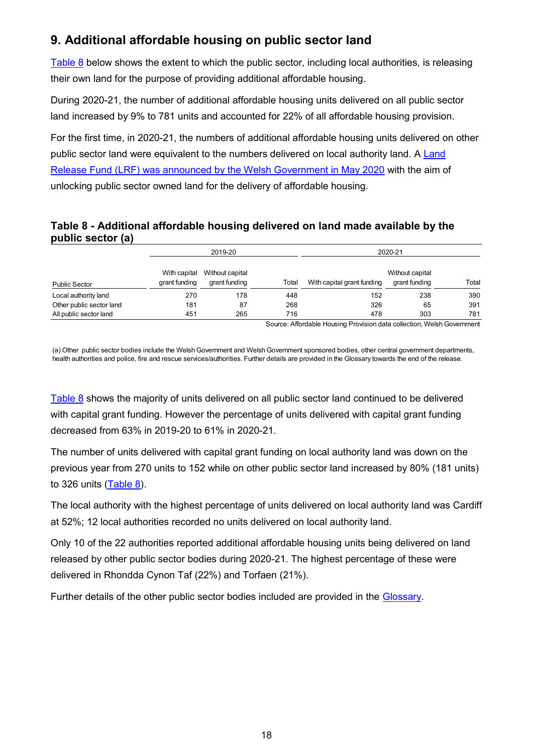# <span id="page-17-0"></span>**9. Additional affordable housing on public sector land**

[Table 8](#page-17-1) below shows the extent to which the public sector, including local authorities, is releasing their own land for the purpose of providing additional affordable housing.

During 2020-21, the number of additional affordable housing units delivered on all public sector land increased by 9% to 781 units and accounted for 22% of all affordable housing provision.

For the first time, in 2020-21, the numbers of additional affordable housing units delivered on other public sector land were equivalent to the numbers delivered on local authority land. A [Land](https://gov.wales/funding-to-help-bolster-wales-housing-needs)  [Release Fund \(LRF\) was announced by the Welsh Government in May 2020](https://gov.wales/funding-to-help-bolster-wales-housing-needs) with the aim of unlocking public sector owned land for the delivery of affordable housing.

### <span id="page-17-1"></span>**Table 8 - Additional affordable housing delivered on land made available by the public sector (a)**

|                          |                               | 2019-20                          |       | 2020-21                    |                                  |       |  |  |
|--------------------------|-------------------------------|----------------------------------|-------|----------------------------|----------------------------------|-------|--|--|
| <b>Public Sector</b>     | With capital<br>grant funding | Without capital<br>grant funding | Total | With capital grant funding | Without capital<br>grant funding | Total |  |  |
| Local authority land     | 270                           | 178                              | 448   | 152                        | 238                              | 390   |  |  |
| Other public sector land | 181                           | 87                               | 268   | 326                        | 65                               | 391   |  |  |
| All public sector land   | 451                           | 265                              | 716   | 478                        | 303                              | 781   |  |  |

Source: Affordable Housing Provision data collection, Welsh Government

(a) Other public sector bodies include the Welsh Government and Welsh Government sponsored bodies, other central government departments, health authorities and police, fire and rescue services/authorities. Further details are provided in the Glossary towards the end of the release.

[Table 8](#page-17-1) shows the majority of units delivered on all public sector land continued to be delivered with capital grant funding. However the percentage of units delivered with capital grant funding decreased from 63% in 2019-20 to 61% in 2020-21.

The number of units delivered with capital grant funding on local authority land was down on the previous year from 270 units to 152 while on other public sector land increased by 80% (181 units) to 326 units [\(Table 8\)](#page-17-1).

The local authority with the highest percentage of units delivered on local authority land was Cardiff at 52%; 12 local authorities recorded no units delivered on local authority land.

Only 10 of the 22 authorities reported additional affordable housing units being delivered on land released by other public sector bodies during 2020-21. The highest percentage of these were delivered in Rhondda Cynon Taf (22%) and Torfaen (21%).

Further details of the other public sector bodies included are provided in the [Glossary.](#page-18-0)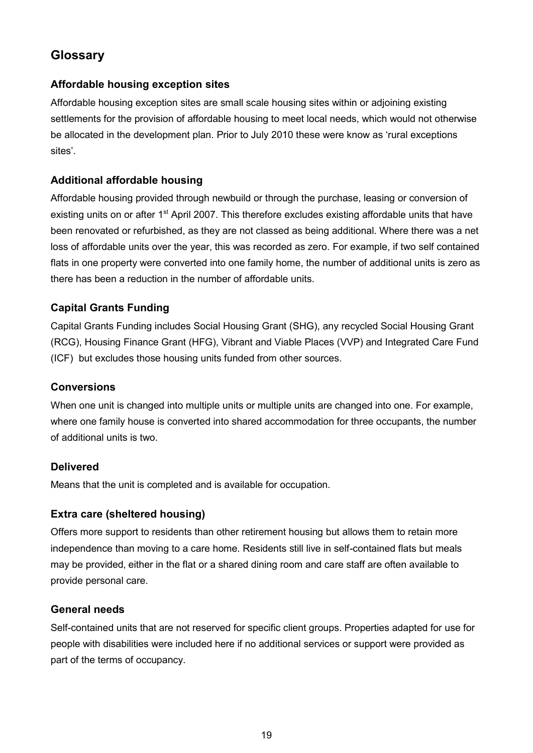# <span id="page-18-0"></span>**Glossary**

#### **Affordable housing exception sites**

Affordable housing exception sites are small scale housing sites within or adjoining existing settlements for the provision of affordable housing to meet local needs, which would not otherwise be allocated in the development plan. Prior to July 2010 these were know as 'rural exceptions sites'.

#### **Additional affordable housing**

Affordable housing provided through newbuild or through the purchase, leasing or conversion of existing units on or after 1<sup>st</sup> April 2007. This therefore excludes existing affordable units that have been renovated or refurbished, as they are not classed as being additional. Where there was a net loss of affordable units over the year, this was recorded as zero. For example, if two self contained flats in one property were converted into one family home, the number of additional units is zero as there has been a reduction in the number of affordable units.

### **Capital Grants Funding**

Capital Grants Funding includes Social Housing Grant (SHG), any recycled Social Housing Grant (RCG), Housing Finance Grant (HFG), Vibrant and Viable Places (VVP) and Integrated Care Fund (ICF) but excludes those housing units funded from other sources.

#### **Conversions**

When one unit is changed into multiple units or multiple units are changed into one. For example, where one family house is converted into shared accommodation for three occupants, the number of additional units is two.

#### **Delivered**

Means that the unit is completed and is available for occupation.

#### **Extra care (sheltered housing)**

Offers more support to residents than other retirement housing but allows them to retain more independence than moving to a care home. Residents still live in self-contained flats but meals may be provided, either in the flat or a shared dining room and care staff are often available to provide personal care.

#### **General needs**

Self-contained units that are not reserved for specific client groups. Properties adapted for use for people with disabilities were included here if no additional services or support were provided as part of the terms of occupancy.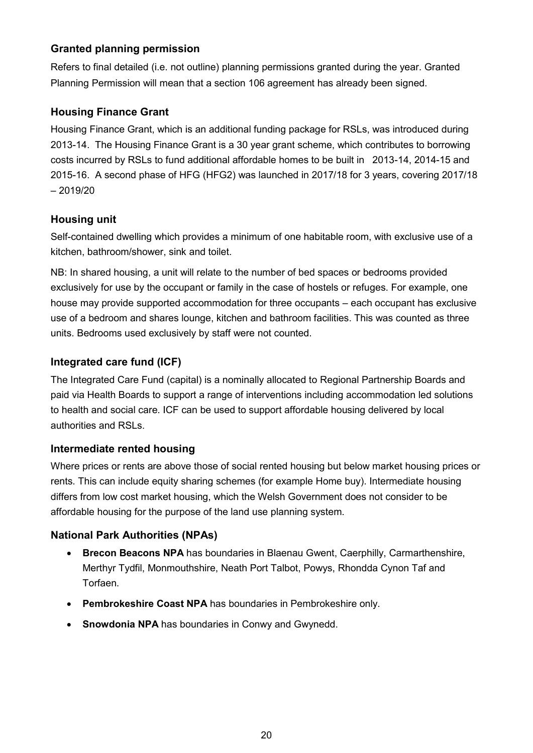## **Granted planning permission**

Refers to final detailed (i.e. not outline) planning permissions granted during the year. Granted Planning Permission will mean that a section 106 agreement has already been signed.

### **Housing Finance Grant**

Housing Finance Grant, which is an additional funding package for RSLs, was introduced during 2013-14. The Housing Finance Grant is a 30 year grant scheme, which contributes to borrowing costs incurred by RSLs to fund additional affordable homes to be built in 2013-14, 2014-15 and 2015-16. A second phase of HFG (HFG2) was launched in 2017/18 for 3 years, covering 2017/18 – 2019/20

### **Housing unit**

Self-contained dwelling which provides a minimum of one habitable room, with exclusive use of a kitchen, bathroom/shower, sink and toilet.

NB: In shared housing, a unit will relate to the number of bed spaces or bedrooms provided exclusively for use by the occupant or family in the case of hostels or refuges. For example, one house may provide supported accommodation for three occupants – each occupant has exclusive use of a bedroom and shares lounge, kitchen and bathroom facilities. This was counted as three units. Bedrooms used exclusively by staff were not counted.

## **Integrated care fund (ICF)**

The Integrated Care Fund (capital) is a nominally allocated to Regional Partnership Boards and paid via Health Boards to support a range of interventions including accommodation led solutions to health and social care. ICF can be used to support affordable housing delivered by local authorities and RSLs.

### **Intermediate rented housing**

Where prices or rents are above those of social rented housing but below market housing prices or rents. This can include equity sharing schemes (for example Home buy). Intermediate housing differs from low cost market housing, which the Welsh Government does not consider to be affordable housing for the purpose of the land use planning system.

### **National Park Authorities (NPAs)**

- **Brecon Beacons NPA** has boundaries in Blaenau Gwent, Caerphilly, Carmarthenshire, Merthyr Tydfil, Monmouthshire, Neath Port Talbot, Powys, Rhondda Cynon Taf and Torfaen.
- **Pembrokeshire Coast NPA** has boundaries in Pembrokeshire only.
- **Snowdonia NPA** has boundaries in Conwy and Gwynedd.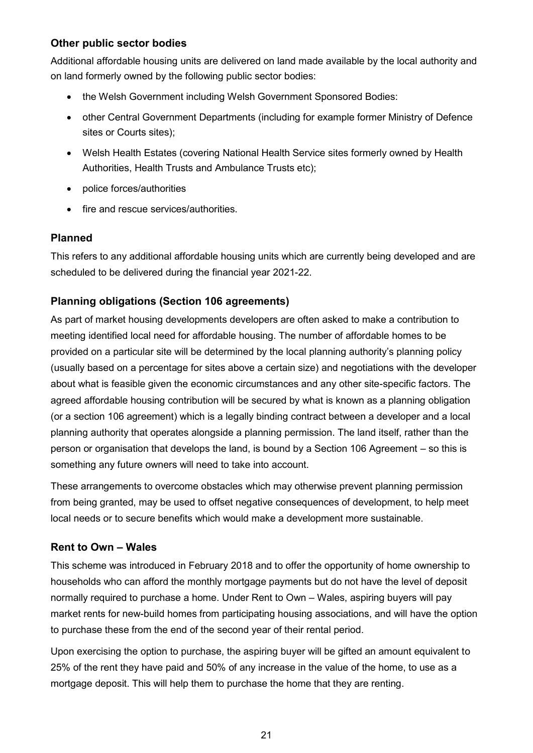### **Other public sector bodies**

Additional affordable housing units are delivered on land made available by the local authority and on land formerly owned by the following public sector bodies:

- the Welsh Government including Welsh Government Sponsored Bodies:
- other Central Government Departments (including for example former Ministry of Defence sites or Courts sites);
- Welsh Health Estates (covering National Health Service sites formerly owned by Health Authorities, Health Trusts and Ambulance Trusts etc);
- police forces/authorities
- fire and rescue services/authorities.

### **Planned**

This refers to any additional affordable housing units which are currently being developed and are scheduled to be delivered during the financial year 2021-22.

## **Planning obligations (Section 106 agreements)**

As part of market housing developments developers are often asked to make a contribution to meeting identified local need for affordable housing. The number of affordable homes to be provided on a particular site will be determined by the local planning authority's planning policy (usually based on a percentage for sites above a certain size) and negotiations with the developer about what is feasible given the economic circumstances and any other site-specific factors. The agreed affordable housing contribution will be secured by what is known as a planning obligation (or a section 106 agreement) which is a legally binding contract between a developer and a local planning authority that operates alongside a planning permission. The land itself, rather than the person or organisation that develops the land, is bound by a Section 106 Agreement – so this is something any future owners will need to take into account.

These arrangements to overcome obstacles which may otherwise prevent planning permission from being granted, may be used to offset negative consequences of development, to help meet local needs or to secure benefits which would make a development more sustainable.

### **Rent to Own – Wales**

This scheme was introduced in February 2018 and to offer the opportunity of home ownership to households who can afford the monthly mortgage payments but do not have the level of deposit normally required to purchase a home. Under Rent to Own – Wales, aspiring buyers will pay market rents for new-build homes from participating housing associations, and will have the option to purchase these from the end of the second year of their rental period.

Upon exercising the option to purchase, the aspiring buyer will be gifted an amount equivalent to 25% of the rent they have paid and 50% of any increase in the value of the home, to use as a mortgage deposit. This will help them to purchase the home that they are renting.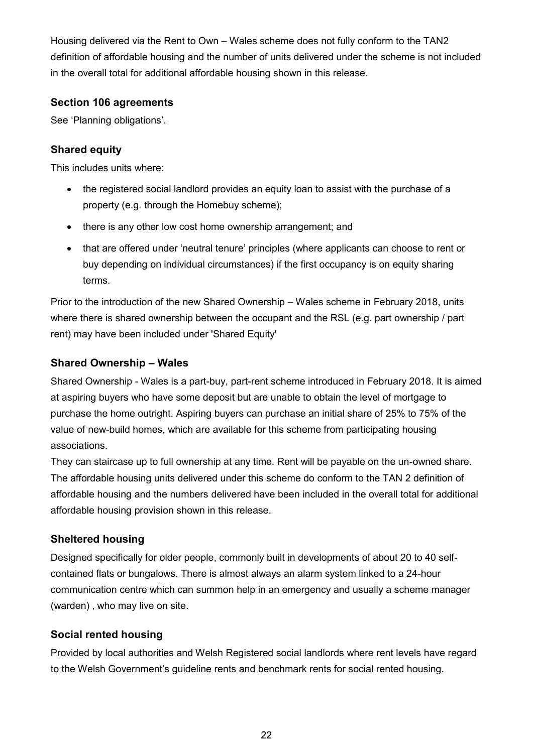Housing delivered via the Rent to Own – Wales scheme does not fully conform to the TAN2 definition of affordable housing and the number of units delivered under the scheme is not included in the overall total for additional affordable housing shown in this release.

#### **Section 106 agreements**

See 'Planning obligations'.

### **Shared equity**

This includes units where:

- the registered social landlord provides an equity loan to assist with the purchase of a property (e.g. through the Homebuy scheme);
- there is any other low cost home ownership arrangement; and
- that are offered under 'neutral tenure' principles (where applicants can choose to rent or buy depending on individual circumstances) if the first occupancy is on equity sharing terms.

Prior to the introduction of the new Shared Ownership – Wales scheme in February 2018, units where there is shared ownership between the occupant and the RSL (e.g. part ownership / part rent) may have been included under 'Shared Equity'

## **Shared Ownership – Wales**

Shared Ownership - Wales is a part-buy, part-rent scheme introduced in February 2018. It is aimed at aspiring buyers who have some deposit but are unable to obtain the level of mortgage to purchase the home outright. Aspiring buyers can purchase an initial share of 25% to 75% of the value of new-build homes, which are available for this scheme from participating housing associations.

They can staircase up to full ownership at any time. Rent will be payable on the un-owned share. The affordable housing units delivered under this scheme do conform to the TAN 2 definition of affordable housing and the numbers delivered have been included in the overall total for additional affordable housing provision shown in this release.

## **Sheltered housing**

Designed specifically for older people, commonly built in developments of about 20 to 40 selfcontained flats or bungalows. There is almost always an alarm system linked to a 24-hour communication centre which can summon help in an emergency and usually a scheme manager (warden), who may live on site.

### **Social rented housing**

Provided by local authorities and Welsh Registered social landlords where rent levels have regard to the Welsh Government's guideline rents and benchmark rents for social rented housing.